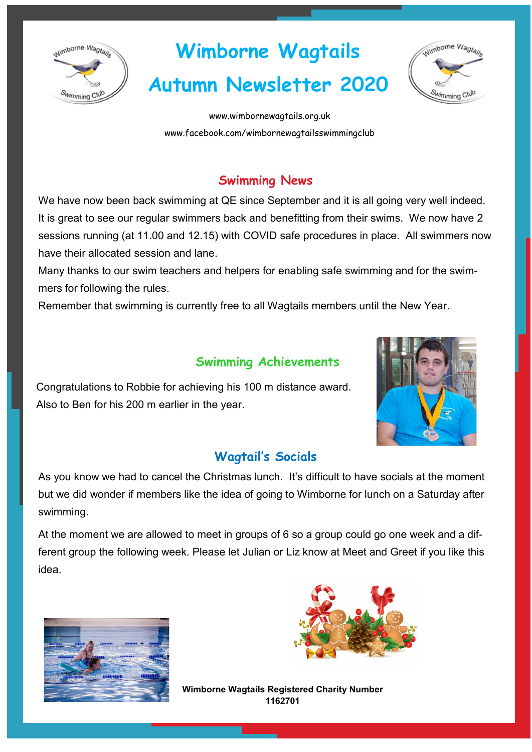

# **Wimborne Wagtails**

# **Autumn Newsletter 2020**



www.wimbornewagtails.org.uk [www.facebook.com/wimbornewagtailsswimmingclub](https://www.facebook.com/wimbornewagtailsswimmingclub)

# **Swimming News**

We have now been back swimming at QE since September and it is all going very well indeed. It is great to see our regular swimmers back and benefitting from their swims. We now have 2 sessions running (at 11.00 and 12.15) with COVID safe procedures in place. All swimmers now have their allocated session and lane.

Many thanks to our swim teachers and helpers for enabling safe swimming and for the swimmers for following the rules.

Remember that swimming is currently free to all Wagtails members until the New Year..

# **Swimming Achievements**





### **Wagtail's Socials**

As you know we had to cancel the Christmas lunch. It's difficult to have socials at the moment but we did wonder if members like the idea of going to Wimborne for lunch on a Saturday after swimming.

At the moment we are allowed to meet in groups of 6 so a group could go one week and a different group the following week. Please let Julian or Liz know at Meet and Greet if you like this idea.





**Wimborne Wagtails Registered Charity Number 1162701**